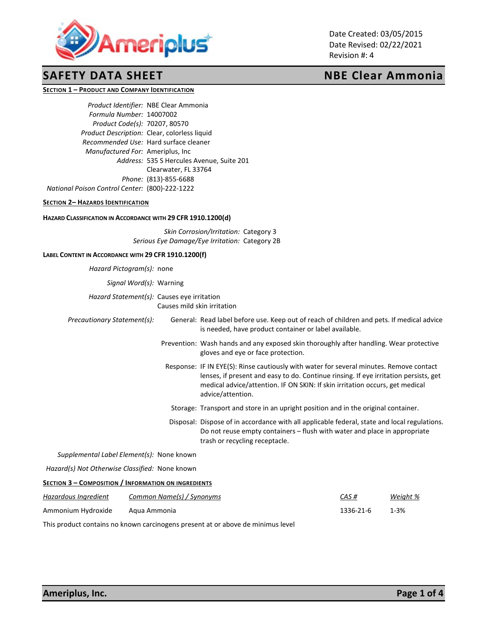

Date Created: 03/05/2015 Date Revised: 02/22/2021 Revision #: 4

# **SAFETY DATA SHEET NBE Clear Ammonia**

**SECTION 1 – PRODUCT AND COMPANY IDENTIFICATION**

*Product Identifier:* NBE Clear Ammonia *Formula Number:* 14007002 *Product Code(s):* 70207, 80570 *Product Description:* Clear, colorless liquid *Recommended Use:* Hard surface cleaner *Manufactured For:* Ameriplus, Inc *Address:* 535 S Hercules Avenue, Suite 201 Clearwater, FL 33764 *Phone:* (813)-855-6688 *National Poison Control Center:* (800)-222-1222

## **SECTION 2– HAZARDS IDENTIFICATION**

### **HAZARD CLASSIFICATION IN ACCORDANCE WITH 29 CFR 1910.1200(d)**

*Skin Corrosion/Irritation:* Category 3 *Serious Eye Damage/Eye Irritation:* Category 2B

## **LABEL CONTENT IN ACCORDANCE WITH 29 CFR 1910.1200(f)**

*Hazard Pictogram(s):* none

*Signal Word(s):* Warning

*Hazard Statement(s):* Causes eye irritation Causes mild skin irritation

*Precautionary Statement(s):* General: Read label before use. Keep out of reach of children and pets. If medical advice is needed, have product container or label available. Prevention: Wash hands and any exposed skin thoroughly after handling. Wear protective gloves and eye or face protection.

- Response: IF IN EYE(S): Rinse cautiously with water for several minutes. Remove contact lenses, if present and easy to do. Continue rinsing. If eye irritation persists, get medical advice/attention. IF ON SKIN: If skin irritation occurs, get medical advice/attention.
- Storage: Transport and store in an upright position and in the original container.
- Disposal: Dispose of in accordance with all applicable federal, state and local regulations. Do not reuse empty containers – flush with water and place in appropriate trash or recycling receptacle.

*Supplemental Label Element(s):* None known

 *Hazard(s) Not Otherwise Classified:* None known

### **SECTION 3 – COMPOSITION / INFORMATION ON INGREDIENTS**

| Hazardous Ingredient | Common Name(s) / Synonyms | CAS#      | Weight % |
|----------------------|---------------------------|-----------|----------|
| Ammonium Hydroxide   | Agua Ammonia              | 1336-21-6 | 1-3%     |

This product contains no known carcinogens present at or above de minimus level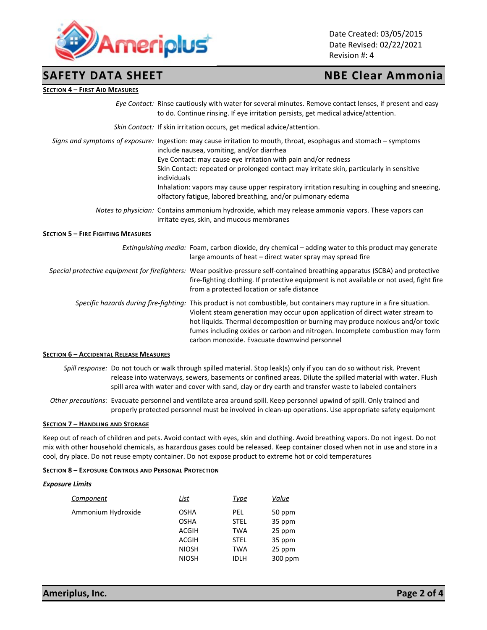

Date Created: 03/05/2015 Date Revised: 02/22/2021 Revision #: 4

# **SAFETY DATA SHEET NBE Clear Ammonia**

## **SECTION 4 – FIRST AID MEASURES**

|  | Eye Contact: Rinse cautiously with water for several minutes. Remove contact lenses, if present and easy |
|--|----------------------------------------------------------------------------------------------------------|
|  | to do. Continue rinsing. If eye irritation persists, get medical advice/attention.                       |
|  | Skin Contact: If skin irritation occurs, get medical advice/attention.                                   |

*Signs and symptoms of exposure:* Ingestion: may cause irritation to mouth, throat, esophagus and stomach – symptoms include nausea, vomiting, and/or diarrhea Eye Contact: may cause eye irritation with pain and/or redness Skin Contact: repeated or prolonged contact may irritate skin, particularly in sensitive individuals Inhalation: vapors may cause upper respiratory irritation resulting in coughing and sneezing, olfactory fatigue, labored breathing, and/or pulmonary edema *Notes to physician:* Contains ammonium hydroxide, which may release ammonia vapors. These vapors can

irritate eyes, skin, and mucous membranes

## **SECTION 5 – FIRE FIGHTING MEASURES**

| Extinguishing media: Foam, carbon dioxide, dry chemical – adding water to this product may generate<br>large amounts of heat – direct water spray may spread fire                                                                                                                                                                                                                                                           |
|-----------------------------------------------------------------------------------------------------------------------------------------------------------------------------------------------------------------------------------------------------------------------------------------------------------------------------------------------------------------------------------------------------------------------------|
| Special protective equipment for firefighters: Wear positive-pressure self-contained breathing apparatus (SCBA) and protective<br>fire-fighting clothing. If protective equipment is not available or not used, fight fire<br>from a protected location or safe distance                                                                                                                                                    |
| Specific hazards during fire-fighting: This product is not combustible, but containers may rupture in a fire situation.<br>Violent steam generation may occur upon application of direct water stream to<br>hot liquids. Thermal decomposition or burning may produce noxious and/or toxic<br>fumes including oxides or carbon and nitrogen. Incomplete combustion may form<br>carbon monoxide. Evacuate downwind personnel |

### **SECTION 6 – ACCIDENTAL RELEASE MEASURES**

*Spill response:* Do not touch or walk through spilled material. Stop leak(s) only if you can do so without risk. Prevent release into waterways, sewers, basements or confined areas. Dilute the spilled material with water. Flush spill area with water and cover with sand, clay or dry earth and transfer waste to labeled containers

*Other precautions:* Evacuate personnel and ventilate area around spill. Keep personnel upwind of spill. Only trained and properly protected personnel must be involved in clean-up operations. Use appropriate safety equipment

### **SECTION 7 – HANDLING AND STORAGE**

Keep out of reach of children and pets. Avoid contact with eyes, skin and clothing. Avoid breathing vapors. Do not ingest. Do not mix with other household chemicals, as hazardous gases could be released. Keep container closed when not in use and store in a cool, dry place. Do not reuse empty container. Do not expose product to extreme hot or cold temperatures

### **SECTION 8 – EXPOSURE CONTROLS AND PERSONAL PROTECTION**

### *Exposure Limits*

| Component          | List                         | <u>Type</u>               | Value            |
|--------------------|------------------------------|---------------------------|------------------|
| Ammonium Hydroxide | <b>OSHA</b><br><b>OSHA</b>   | PEL<br><b>STEL</b>        | 50 ppm<br>35 ppm |
|                    | <b>ACGIH</b>                 | TWA                       | 25 ppm           |
|                    | <b>ACGIH</b><br><b>NIOSH</b> | <b>STEL</b><br><b>TWA</b> | 35 ppm<br>25 ppm |
|                    | <b>NIOSH</b>                 | <b>IDLH</b>               | 300 ppm          |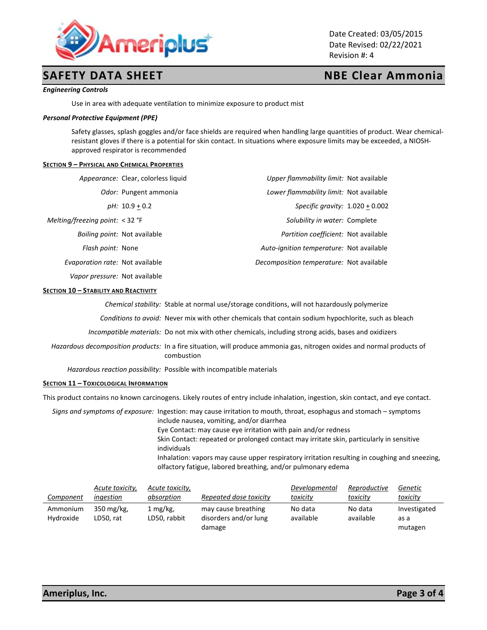

# **SAFETY DATA SHEET NBE Clear Ammonia**

Date Created: 03/05/2015 Date Revised: 02/22/2021 Revision #: 4

### *Engineering Controls*

Use in area with adequate ventilation to minimize exposure to product mist

### *Personal Protective Equipment (PPE)*

Safety glasses, splash goggles and/or face shields are required when handling large quantities of product. Wear chemicalresistant gloves if there is a potential for skin contact. In situations where exposure limits may be exceeded, a NIOSHapproved respirator is recommended

### **SECTION 9 – PHYSICAL AND CHEMICAL PROPERTIES**

|                                        | Appearance: Clear, colorless liquid | <i>Upper flammability limit:</i> Not available |  |
|----------------------------------------|-------------------------------------|------------------------------------------------|--|
|                                        | Odor: Pungent ammonia               | Lower flammability limit: Not available        |  |
|                                        | $pH: 10.9 + 0.2$                    | Specific gravity: $1.020 + 0.002$              |  |
| Melting/freezing point: < 32 °F        |                                     | Solubility in water: Complete                  |  |
|                                        | <i>Boiling point:</i> Not available | Partition coefficient: Not available           |  |
| Flash point: None                      |                                     | Auto-ignition temperature: Not available       |  |
| <i>Evaporation rate:</i> Not available |                                     | Decomposition temperature: Not available       |  |
| <i>Vapor pressure:</i> Not available   |                                     |                                                |  |

### **SECTION 10 – STABILITY AND REACTIVITY**

*Chemical stability:* Stable at normal use/storage conditions, will not hazardously polymerize

*Conditions to avoid:* Never mix with other chemicals that contain sodium hypochlorite, such as bleach

*Incompatible materials:* Do not mix with other chemicals, including strong acids, bases and oxidizers

*Hazardous decomposition products:* In a fire situation, will produce ammonia gas, nitrogen oxides and normal products of combustion

*Hazardous reaction possibility:* Possible with incompatible materials

### **SECTION 11 – TOXICOLOGICAL INFORMATION**

This product contains no known carcinogens. Likely routes of entry include inhalation, ingestion, skin contact, and eye contact.

*Signs and symptoms of exposure:* Ingestion: may cause irritation to mouth, throat, esophagus and stomach – symptoms include nausea, vomiting, and/or diarrhea Eye Contact: may cause eye irritation with pain and/or redness Skin Contact: repeated or prolonged contact may irritate skin, particularly in sensitive individuals Inhalation: vapors may cause upper respiratory irritation resulting in coughing and sneezing, olfactory fatigue, labored breathing, and/or pulmonary edema

|           | Acute toxicity, | Acute toxicity, |                        | Developmental | Reproductive | Genetic      |
|-----------|-----------------|-----------------|------------------------|---------------|--------------|--------------|
| Component | ingestion       | absorption      | Repeated dose toxicity | toxicity      | toxicity     | toxicity     |
| Ammonium  | 350 mg/kg,      | 1 mg/kg,        | may cause breathing    | No data       | No data      | Investigated |
| Hydroxide | LD50. rat       | LD50. rabbit    | disorders and/or lung  | available     | available    | as a         |
|           |                 |                 | damage                 |               |              | mutagen      |